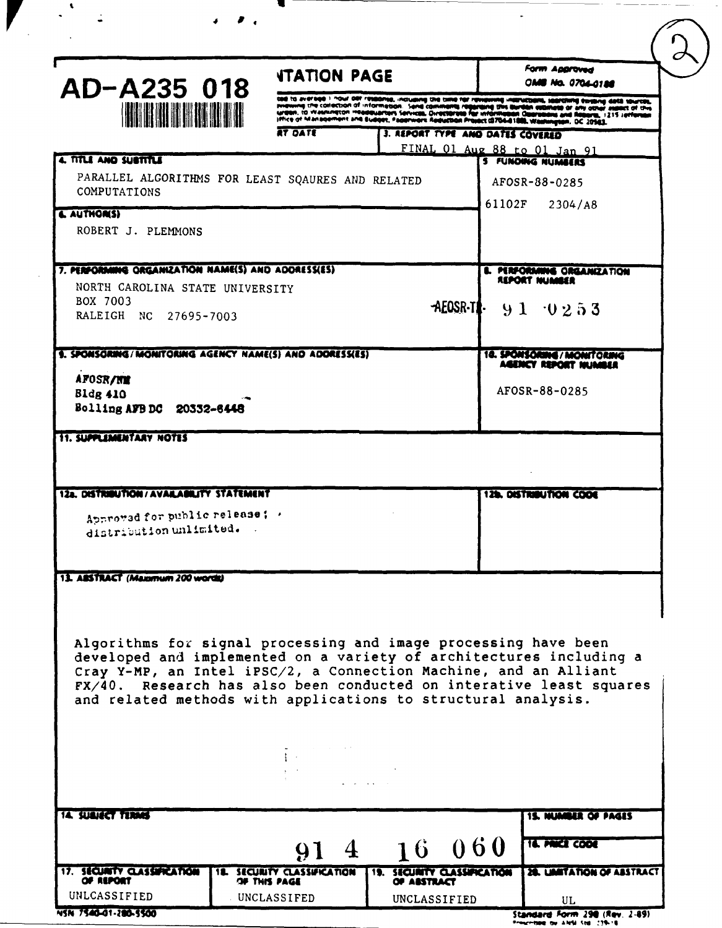|                                                                                                                                         | <b><i>ITATION PAGE</i></b>                                                             |                                    |              |                                                                                                                                                                                                                                  | Form Approved<br><b>OM6 No. 0704-0188</b>         |  |
|-----------------------------------------------------------------------------------------------------------------------------------------|----------------------------------------------------------------------------------------|------------------------------------|--------------|----------------------------------------------------------------------------------------------------------------------------------------------------------------------------------------------------------------------------------|---------------------------------------------------|--|
| AD-A235 018                                                                                                                             |                                                                                        |                                    |              | cas to average i nour der ressonse, inclusing the time for reviewing instructions, searching existing data sources,<br>presiving the collection of information. Sand comments regarding this surfain examine or any other assect |                                                   |  |
| <u> Kirkin Milli</u>                                                                                                                    | RT DATE                                                                                |                                    |              | 3. REPORT TYPE AND DATES COVERED                                                                                                                                                                                                 |                                                   |  |
|                                                                                                                                         |                                                                                        |                                    |              |                                                                                                                                                                                                                                  | FINAL 01 Aug 88 to 01 Jan 91                      |  |
| 4. TITLE AND SUSTITLE<br>PARALLEL ALGORITHMS FOR LEAST SQAURES AND RELATED                                                              |                                                                                        |                                    |              |                                                                                                                                                                                                                                  | <b>5 FUNDING NUMBERS</b>                          |  |
| COMPUTATIONS                                                                                                                            |                                                                                        |                                    |              |                                                                                                                                                                                                                                  | AFOSR-88-0285                                     |  |
| <b>&amp; AUTHOR(S)</b>                                                                                                                  |                                                                                        |                                    |              | 61102F                                                                                                                                                                                                                           | 2304/A8                                           |  |
| ROBERT J. PLEMMONS                                                                                                                      |                                                                                        |                                    |              |                                                                                                                                                                                                                                  |                                                   |  |
| 7. PERFORMING ORGANIZATION NAME(S) AND ADDRESSES)                                                                                       |                                                                                        |                                    |              |                                                                                                                                                                                                                                  |                                                   |  |
| NORTH CAROLINA STATE UNIVERSITY                                                                                                         |                                                                                        |                                    |              |                                                                                                                                                                                                                                  | <b>L. MRFORMING ORGANIZATION</b><br>REPORT NUMBER |  |
| BOX 7003                                                                                                                                |                                                                                        |                                    |              |                                                                                                                                                                                                                                  | $AEOSR-1$ : $91 \t 0253$                          |  |
| RALEIGH NC 27695-7003                                                                                                                   |                                                                                        |                                    |              |                                                                                                                                                                                                                                  |                                                   |  |
| 9. SPONSORING/MONITORING AGENCY NAME(S) AND ADORESSES)                                                                                  |                                                                                        |                                    |              |                                                                                                                                                                                                                                  | 18. SPONSORING / MONITORING                       |  |
| <b>AFOSR/NM</b>                                                                                                                         |                                                                                        |                                    |              |                                                                                                                                                                                                                                  | AGENCY REPORT NUMBER                              |  |
| <b>Bldg 410</b>                                                                                                                         |                                                                                        |                                    |              |                                                                                                                                                                                                                                  | AFOSR-88-0285                                     |  |
| Bolling AFB DC 20332-6448                                                                                                               |                                                                                        |                                    |              |                                                                                                                                                                                                                                  |                                                   |  |
|                                                                                                                                         |                                                                                        |                                    |              |                                                                                                                                                                                                                                  | <b>129. DISTRIBUTION CODE</b>                     |  |
| 12a. DISTRIBUTION/AVAILABILITY STATEMENT                                                                                                |                                                                                        |                                    |              |                                                                                                                                                                                                                                  |                                                   |  |
| Approved for public release : .                                                                                                         |                                                                                        |                                    |              |                                                                                                                                                                                                                                  |                                                   |  |
| distribution unlimited.                                                                                                                 |                                                                                        |                                    |              |                                                                                                                                                                                                                                  |                                                   |  |
|                                                                                                                                         |                                                                                        |                                    |              |                                                                                                                                                                                                                                  |                                                   |  |
| 13. ABSTRACT (Maxemum 200 words)                                                                                                        |                                                                                        |                                    |              |                                                                                                                                                                                                                                  |                                                   |  |
|                                                                                                                                         |                                                                                        |                                    |              |                                                                                                                                                                                                                                  |                                                   |  |
| Algorithms for signal processing and image processing have been                                                                         |                                                                                        |                                    |              |                                                                                                                                                                                                                                  |                                                   |  |
| developed and implemented on a variety of architectures including a                                                                     |                                                                                        |                                    |              |                                                                                                                                                                                                                                  |                                                   |  |
| Cray Y-MP, an Intel iPSC/2, a Connection Machine, and an Alliant<br>FX/40. Research has also been conducted on interative least squares |                                                                                        |                                    |              |                                                                                                                                                                                                                                  |                                                   |  |
| and related methods with applications to structural analysis.                                                                           |                                                                                        |                                    |              |                                                                                                                                                                                                                                  |                                                   |  |
|                                                                                                                                         |                                                                                        |                                    |              |                                                                                                                                                                                                                                  |                                                   |  |
|                                                                                                                                         | $\Delta \phi$ , where $\phi$ is a set of the set of $\phi$<br><b>Contract Contract</b> |                                    |              |                                                                                                                                                                                                                                  |                                                   |  |
|                                                                                                                                         |                                                                                        | and a strain of the                |              |                                                                                                                                                                                                                                  |                                                   |  |
|                                                                                                                                         |                                                                                        |                                    |              |                                                                                                                                                                                                                                  |                                                   |  |
| <b>14. SUBJECT TERMS</b>                                                                                                                |                                                                                        |                                    |              |                                                                                                                                                                                                                                  | <b>15. NUMBER OF PAGES</b>                        |  |
|                                                                                                                                         |                                                                                        | 91 4 16 060                        |              |                                                                                                                                                                                                                                  | <b>14. MICE CODE</b>                              |  |
| 17. SECURITY CLASSIFICATION<br>OF REPORT                                                                                                | SECURITY CLASSIFICATION<br>OF THIS PAGE                                                | <b>19. SECURITY CLASSIFICATION</b> | OF ASSTRACT  |                                                                                                                                                                                                                                  | 28. UMITATION OF ABSTRACT                         |  |
| UNLCASSIFIED                                                                                                                            | UNCLASSIFED                                                                            |                                    | UNCLASSIFIED |                                                                                                                                                                                                                                  | UL                                                |  |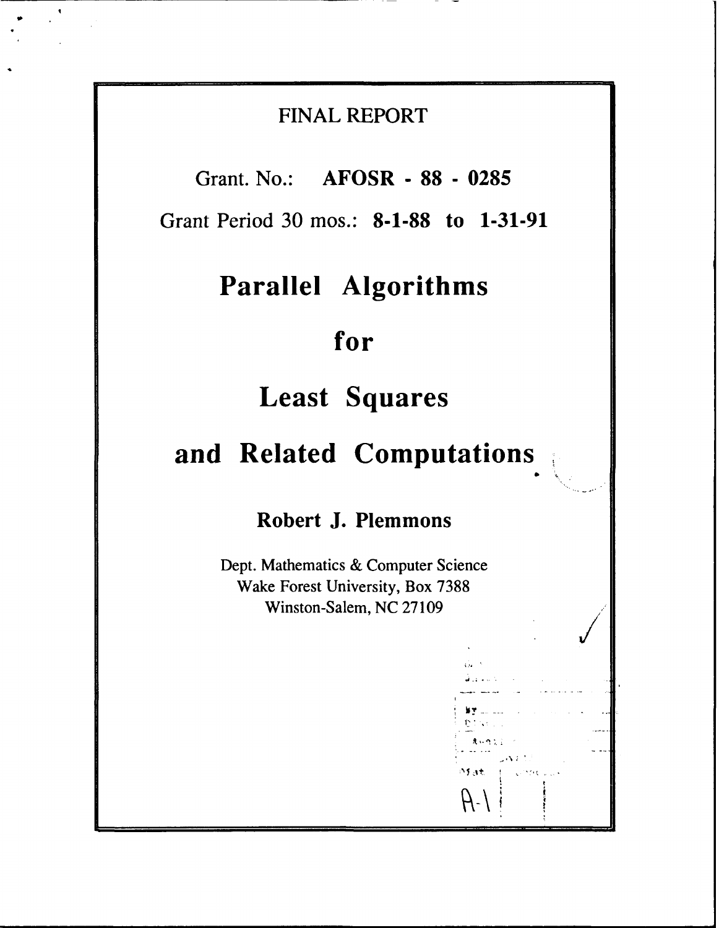# **FINAL REPORT**

**Grant. No.: AFOSR - 88 - 0285**

**Grant Period 30 mos.: 8-1-88 to 1-31-91**

# **Parallel Algorithms**

# **for**

# **Least Squares**

# **and Related Computations**

# **Robert J. Plemmons**

Dept. Mathematics **&** Computer Science Wake Forest University, Box **7388** Winston-Salem, **NC 27109**

 $\mathcal{H}$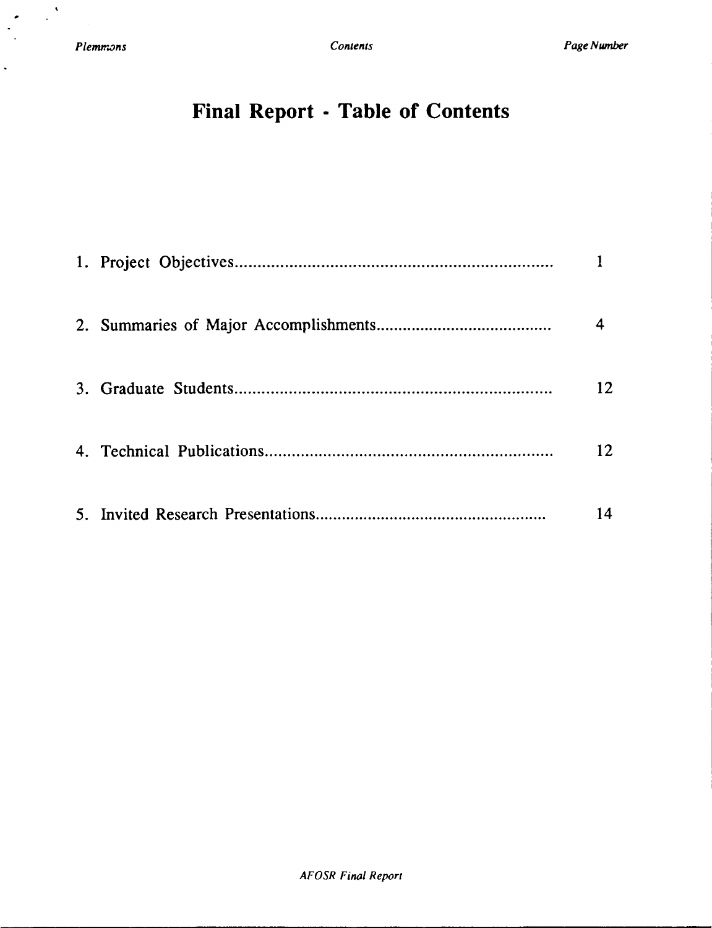$\frac{1}{2}$ 

 $\bullet$  $\ddot{\phantom{1}}$ 

 $\ddot{\phantom{0}}$ 

# **Final Report - Table of Contents**

|  | 12 |
|--|----|
|  | 12 |
|  | 14 |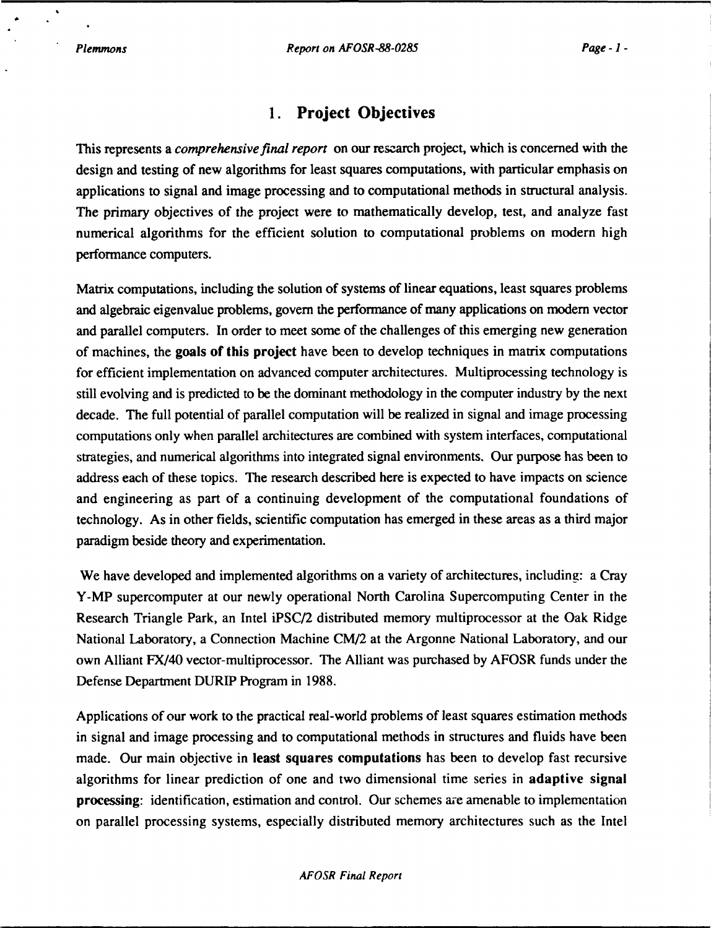## **1. Project Objectives**

This represents a *comprehensive final report* on our research project, which is concerned with the design and testing of new algorithms for least squares computations, with particular emphasis on applications to signal and image processing and to computational methods in structural analysis. The primary objectives of the project were to mathematically develop, test, and analyze fast numerical algorithms for the efficient solution to computational problems on modern high performance computers.

Matrix computations, including the solution of systems of linear equations, least squares problems and algebraic eigenvalue problems, govern the performance of many applications on modern vector and parallel computers. In order to meet some of the challenges of this emerging new generation of machines, the goals of this project have been to develop techniques in matrix computations for efficient implementation on advanced computer architectures. Multiprocessing technology is still evolving and is predicted to be the dominant methodology in the computer industry by the next decade. The full potential of parallel computation will be realized in signal and image processing computations only when parallel architectures are combined with system interfaces, computational strategies, and numerical algorithms into integrated signal environments. Our purpose has been to address each of these topics. The research described here is expected to have impacts on science and engineering as part of a continuing development of the computational foundations of technology. As in other fields, scientific computation has emerged in these areas as a third major paradigm beside theory and experimentation.

We have developed and implemented algorithms on a variety of architectures, including: a Cray Y-MP supercomputer at our newly operational North Carolina Supercomputing Center in the Research Triangle Park, an Intel iPSC/2 distributed memory multiprocessor at the Oak Ridge National Laboratory, a Connection Machine CM/2 at the Argonne National Laboratory, and our own Alliant FX/40 vector-multiprocessor. The Alliant was purchased by AFOSR funds under the Defense Department DURIP Program in 1988.

Applications of our work to the practical real-world problems of least squares estimation methods in signal and image processing and to computational methods in structures and fluids have been made. Our main objective in least squares computations has been to develop fast recursive algorithms for linear prediction of one and two dimensional time series in adaptive signal processing: identification, estimation and control. Our schemes are amenable to implementation on parallel processing systems, especially distributed memory architectures such as the Intel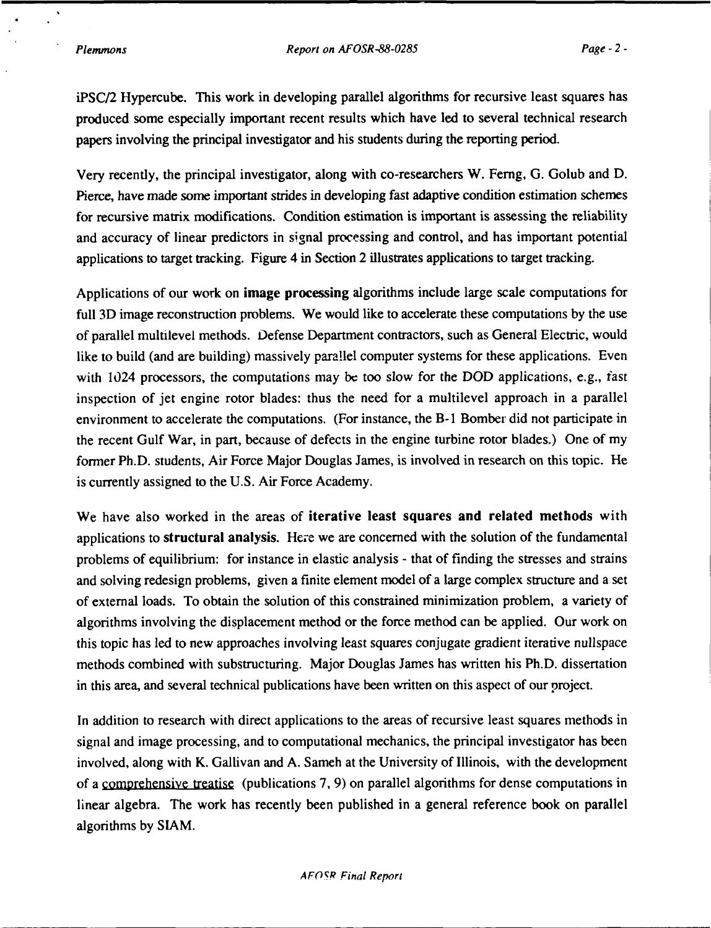iPSC/2 Hypercube. This work in developing parallel algorithms for recursive least squares has produced some especially important recent results which have led to several technical research papers involving the principal investigator and his students during the reporting period.

Very recently, the principal investigator, along with co-researchers W. Ferng, G. Golub and D. Pierce, have made some important strides in developing fast adaptive condition estimation schemes for recursive matrix modifications. Condition estimation is important is assessing the reliability and accuracy of linear predictors in signal processing and control, and has important potential applications to target tracking. Figure 4 in Section 2 illustrates applications to target tracking.

Applications of our work on **image processing** algorithms include large scale computations for full 3D image reconstruction problems. We would like to accelerate these computations by the use of parallel multilevel methods. Defense Department contractors, such as General Electric, would like to build (and are building) massively parallel computer systems for these applications. Even with 1024 processors, the computations may be too slow for the DOD applications, e.g., fast inspection of jet engine rotor blades: thus the need for a multilevel approach in a parallel environment to accelerate the computations. (For instance, the B- **I** Bomber did not participate in the recent Gulf War, in part, because of defects in the engine turbine rotor blades.) One of my former Ph.D. students, Air Force Major Douglas James, is involved in research on this topic. He is currently assigned to the U.S. Air Force Academy.

We have also worked in the areas of iterative least squares and related methods with applications to structural analysis. Here we are concerned with the solution of the fundamental problems of equilibrium: for instance in elastic analysis - that of finding the stresses and strains and solving redesign problems, given a finite element model of a large complex structure and a set of external loads. To obtain the solution of this constrained minimization problem, a variety of algorithms involving the displacement method or the force method can be applied. Our work on this topic has led to new approaches involving least squares conjugate gradient iterative nullspace methods combined with substructuring. Major Douglas James has written his Ph.D. dissertation in this area, and several technical publications have been written on this aspect of our project.

In addition to research with direct applications to the areas of recursive least squares methods in signal and image processing, and to computational mechanics, the principal investigator has been involved, along with K. Gallivan and A. Sameh at the University of Illinois, with the development of a comprehensive treatise (publications 7, 9) on parallel algorithms for dense computations in linear algebra. The work has recently been published in a general reference book on parallel algorithms by SIAM.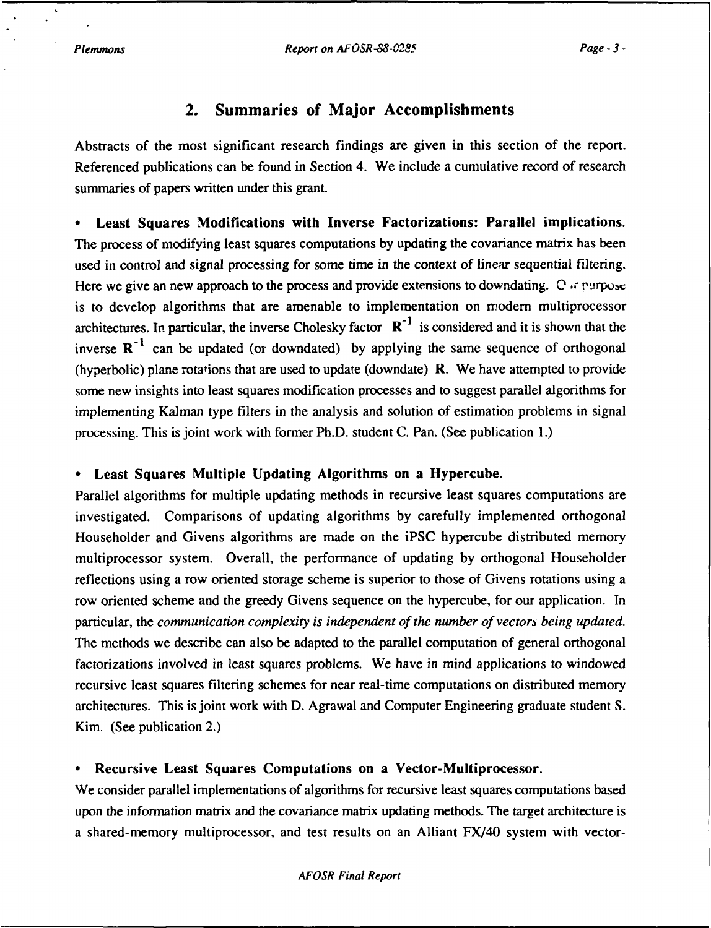### **2. Summaries of Major Accomplishments**

Abstracts of the most significant research findings are given in this section of the report. Referenced publications can be found in Section 4. We include a cumulative record of research summaries of papers written under this grant.

Least Squares Modifications with Inverse Factorizations: Parallel implications. The process of modifying least squares computations by updating the covariance matrix has been used in control and signal processing for some time in the context of linear sequential filtering. Here we give an new approach to the process and provide extensions to downdating. O  $\pi$  rurpose is to develop algorithms that are amenable to implementation on modem multiprocessor architectures. In particular, the inverse Cholesky factor  $R^{-1}$  is considered and it is shown that the inverse  $\mathbb{R}^{-1}$  can be updated (or downdated) by applying the same sequence of orthogonal (hyperbolic) plane rotations that are used to update (downdate) R. We have attempted to provide some new insights into least squares modification processes and to suggest parallel algorithms for implementing Kalman type filters in the analysis and solution of estimation problems in signal processing. This is joint work with former Ph.D. student C. Pan. (See publication 1.)

#### \* Least Squares Multiple Updating Algorithms on a Hypercube.

Parallel algorithms for multiple updating methods in recursive least squares computations are investigated. Comparisons of updating algorithms by carefully implemented orthogonal Householder and Givens algorithms are made on the iPSC hypercube distributed memory multiprocessor system. Overall, the performance of updating by orthogonal Householder reflections using a row oriented storage scheme is superior to those of Givens rotations using a row oriented scheme and the greedy Givens sequence on the hypercube, for our application. In particular, the *communication complexity is independent of the number of vectors being updated.* The methods we describe can also be adapted to the parallel computation of general orthogonal factorizations involved in least squares problems. We have in mind applications to windowed recursive least squares filtering schemes for near real-time computations on distributed memory architectures. This is joint work with D. Agrawal and Computer Engineering graduate student S. Kim. (See publication 2.)

#### **0** Recursive **Least** Squares **Computations on** a Vector-Multiprocessor.

We consider parallel implementations of algorithms for recursive least squares computations based upon the information matrix and the covariance matrix updating methods. The target architecture is a shared-memory multiprocessor, and test results on an Alliant FX/40 system with vector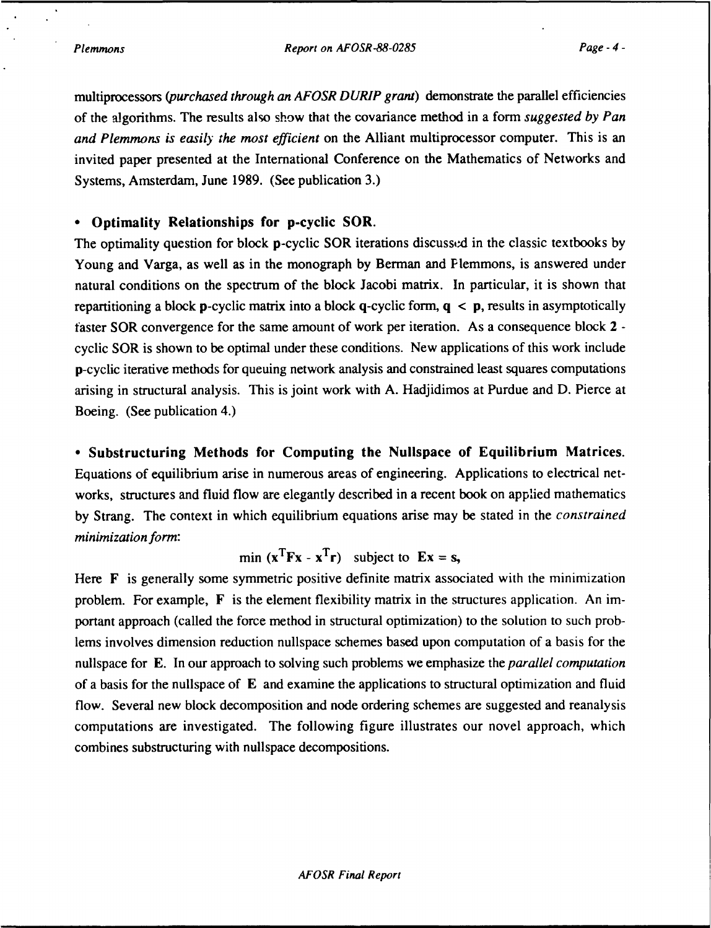multiprocessors *(purchased through an AFOSR DURIP grant)* demonstrate the parallel efficiencies of the algorithms. The results also show that the covariance method in a form *suggested by Pan and Plemmons is easily the most efficient* on the Alliant multiprocessor computer. This is an invited paper presented at the International Conference on the Mathematics of Networks and Systems, Amsterdam, June **1989.** (See publication **3.)**

#### **\* Optimality Relationships for p-cyclic SOR.**

The optimality question for block **p**-cyclic SOR iterations discussed in the classic textbooks by Young and Varga, as well as in the monograph **by** Berman and Plemmons, is answered under natural conditions on the spectrum of the block Jacobi matrix. In particular, it is shown that repartitioning a block p-cyclic matrix into a block q-cyclic form, **q < p,** results in asymptotically faster SOR convergence for the same amount of work per iteration. As a consequence **block** 2  cyclic SOR is shown to be optimal under these conditions. New applications of this work include p-cyclic iterative methods for queuing network analysis and constrained least squares computations arising in structural analysis. This is joint work with **A.** Hadjidimos at Purdue and **D.** Pierce at Boeing. (See publication 4.)

**- Substructuring Methods for Computing the Nullspace of Equilibrium Matrices.** Equations of equilibrium arise in numerous areas of engineering. Applications to electrical networks, structures and fluid flow are elegantly described in a recent book on applied mathematics **by** Strang. The context in which equilibrium equations arise may be stated in the *constrained minimization form:*

min  $(x^T F x - x^T r)$  subject to  $E x = s$ ,

Here **F** is generally some symmetric positive definite matrix associated with the minimization problem. For example, F is the element flexibility matrix in the structures application. An important approach (called the force method in structural optimization) to the solution to such problems involves dimension reduction nullspace schemes based upon computation of a basis for the nullspace for **E.** In our approach to solving such problems we emphasize the *parallel computation* of a basis for the nullspace of **E** and examine the applications to structural optimization and fluid flow. Several new block decomposition and node ordering schemes are suggested and reanalysis computations are investigated. The following figure illustrates our novel approach, which combines substructuring with nullspace decompositions.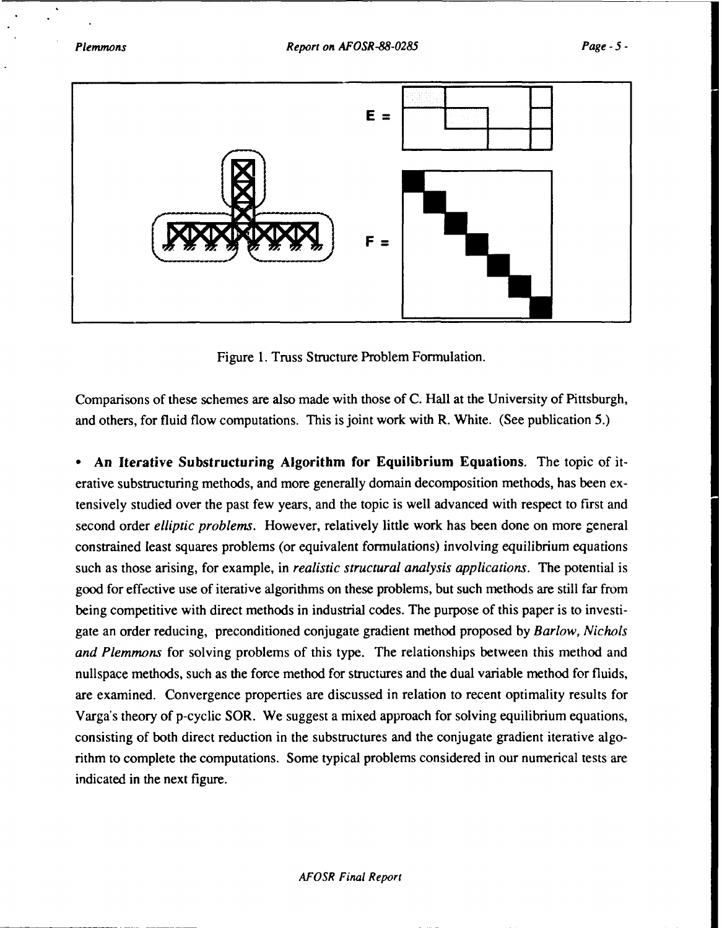

Figure 1. Truss Structure Problem Formulation.

Comparisons of these schemes are also made with those of C. Hall at the University of Pittsburgh, and others, for fluid flow computations. This is joint work with R. White. (See publication 5.)

**• An Iterative** Substructuring **Algorithm for Equilibrium Equations.** The topic of iterative substructuring methods, and more generally domain decomposition methods, has been extensively studied over the past few years, and the topic is well advanced with respect to first and second order *elliptic problems.* However, relatively little work has been done on more general constrained least squares problems (or equivalent formulations) involving equilibrium equations such as those arising, for example, in *realistic structural analysis applications.* The potential is good for effective use of iterative algorithms on these problems, but such methods are still far from being competitive with direct methods in industrial codes. The purpose of this paper is to investigate an order reducing, preconditioned conjugate gradient method proposed **by** *Barlow, Nichols and Plemmons* for solving problems of this type. The relationships between this method and nullspace methods, such as the force method for structures and the dual variable method for fluids, are examined. Convergence properties are discussed in relation to recent optimality results for Varga's theory of p-cyclic SOR. We suggest a mixed approach for solving equilibrium equations, consisting of both direct reduction in the substructures and the conjugate gradient iterative algorithm to complete the computations. Some typical problems considered in our numerical tests are indicated in the next figure.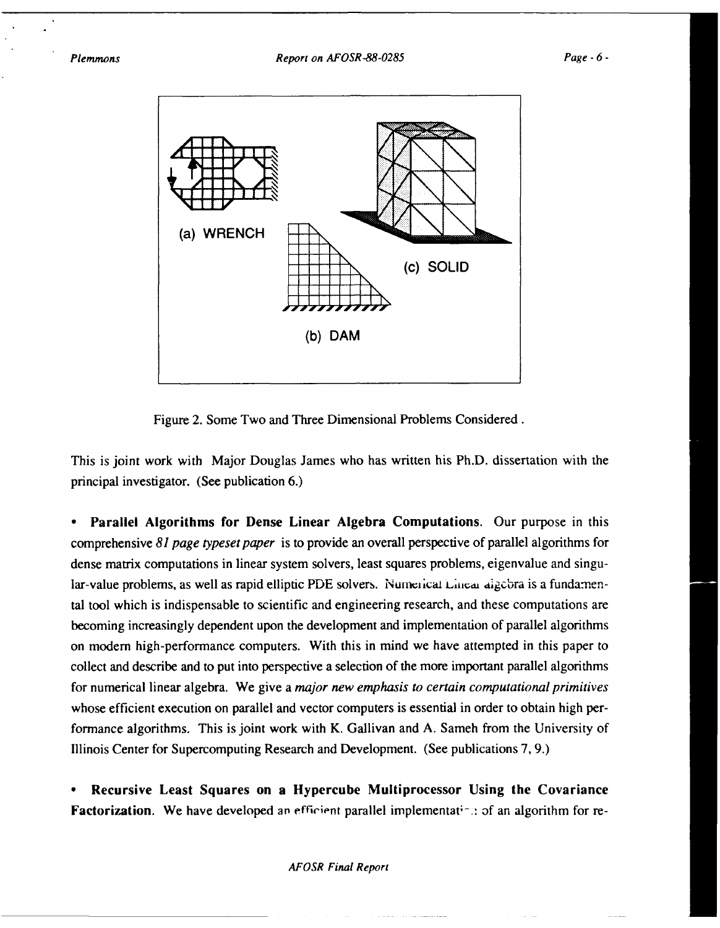

Figure 2. Some Two and Three Dimensional Problems Considered.

This is joint work with Major Douglas James who has written his Ph.D. dissertation with the principal investigator. (See publication 6.)

• Parallel **Algorithms for Dense Linear** Algebra Computations. Our purpose in this comprehensive *81 page typeset paper* is to provide an overall perspective of parallel algorithms for dense matrix computations in linear system solvers, least squares problems, eigenvalue and singular-value problems, as well as rapid elliptic PDE solvers. Numerical Linear digebra is a fundamental tool which is indispensable to scientific and engineering research, and these computations are becoming increasingly dependent upon the development and implementation of parallel algorithms on modem high-performance computers. With this in mind we have attempted in this paper to collect and describe and to put into perspective a selection of the more important parallel algorithms for numerical linear algebra. We give a *major new emphasis to certain computational primitives* whose efficient execution on parallel and vector computers is essential in order to obtain high performance algorithms. This is joint work with K. Gallivan and A. Sameh from the University of Illinois Center for Supercomputing Research and Development. (See publications 7, 9.)

**•** Recursive Least **Squares on** a Hypercube Multiprocessor Using the Covariance Factorization. We have developed an efficient parallel implementation of an algorithm for re-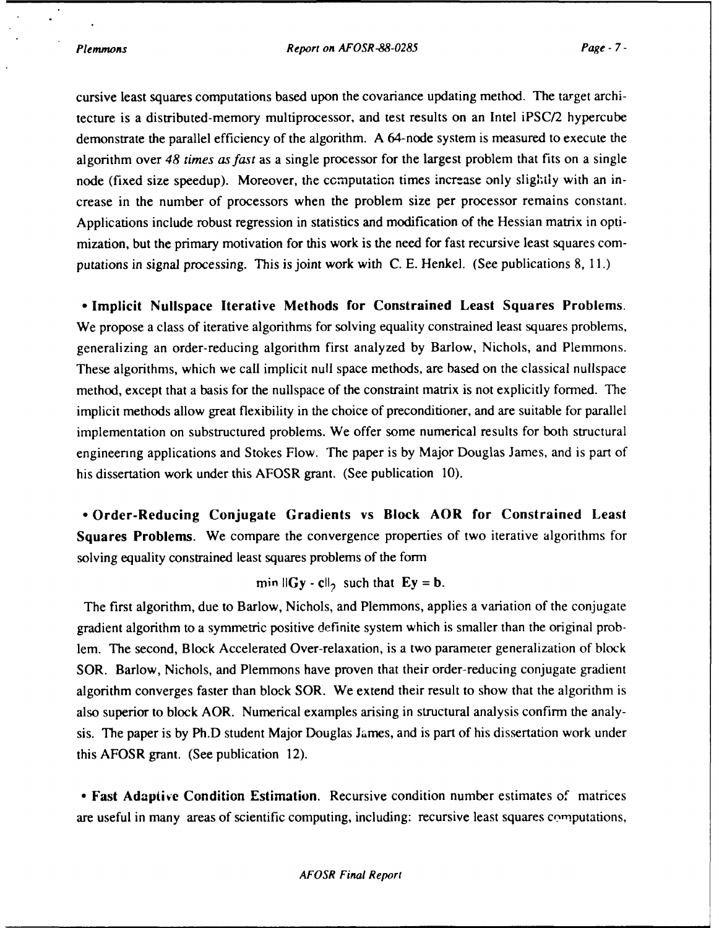cursive least squares computations based upon the covariance updating method. The target architecture is a distributed-memory multiprocessor, and test results on an Intel iPSC/2 hypercube demonstrate the parallel efficiency of the algorithm. **A** 64-node system is measured to execute the algorithm over 48 *times as fast* as a single processor for the largest problem that fits on a single node (fixed size speedup). Moreover, the computation times increase only slightly with an increase in the number of processors when the problem size per processor remains constant. Applications include robust regression in statistics and modification of the Hessian matrix in optimization, but the primary motivation for this work is the need for fast recursive least squares **com**putations in signal processing. This is joint work with **C.** E. Henkel. (See publications **8, 11.)**

**-** Implicit Nullspace **Iterative Methods for Constrained Least Squares Problems.** We propose a class of iterative algorithms for solving equality constrained least squares problems, generalizing an order-reducing algorithm first analyzed **by** Barlow, Nichols, and Plemmons. These algorithms, which we call implicit null space methods, are based on the classical nullspace method, except that a basis for the nullspace of the constraint matrix is not explicitly formed. The implicit methods allow great flexibility in the choice of preconditioner, and are suitable for parallel implementation on substructured problems. We offer some numerical results for both structural engineenng applications and Stokes Flow. The paper is **by** Major Douglas James, and is part of his dissertation work under this AFOSR grant. (See publication **10).**

**\* Order-Reducing Conjugate Gradients vs Block AOR for Constrained Least Squares Problems. We** compare the convergence properties of two iterative algorithms for solving equality constrained least squares problems of the form

min  $\|Gy - c\|_2$  such that  $Ey = b$ .

The first algorithm, due to Barlow, Nichols, and Plemmons, applies a variation of the conjugate gradient algorithm to a symmetric positive definite system which is smaller than the original problem. The second, Block Accelerated Over-relaxation, is a two parameter generalization of block SOR. Barlow, Nichols, and Plemmons have proven that their order-reducing conjugate gradient algorithm converges faster than block SOR. We extend their result to show that the algorithm is also superior to block AOR. Numerical examples arising in structural analysis confirm the analysis. The paper is **by** Ph.D student Major Douglas James, and is part of his dissertation work under this AFOSR grant. (See publication 12).

**\* Fast** Adaptive Condition Estimation. Recursive condition number estimates **of** matrices are useful in many areas of scientific computing, including: recursive least squares computations,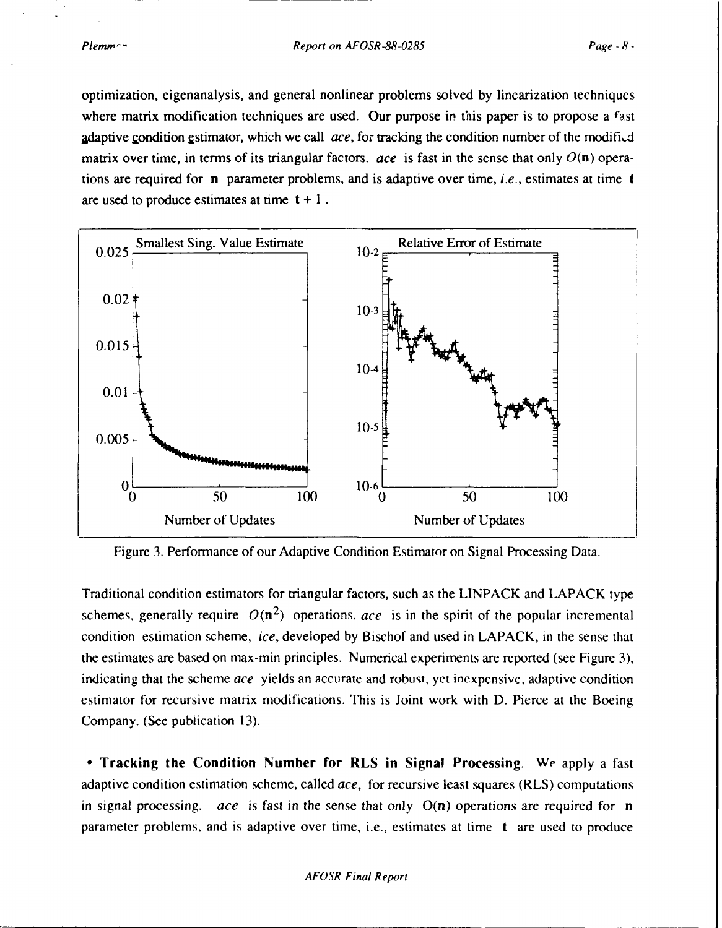optimization, eigenanalysis, and general nonlinear problems solved by linearization techniques where matrix modification techniques are used. Our purpose in this paper is to propose a fast adaptive condition estimator, which we call *ace*, for tracking the condition number of the modified matrix over time, in terms of its triangular factors. *ace* is fast in the sense that only  $O(n)$  operations are required for n parameter problems, and is adaptive over time, *i.e.,* estimates at time t are used to produce estimates at time  $t + 1$ .



Figure 3. Performance of our Adaptive Condition Estimator on Signal Processing Data.

Traditional condition estimators for triangular factors, such as the LINPACK and LAPACK type schemes, generally require  $O(n^2)$  operations. *ace* is in the spirit of the popular incremental condition estimation scheme, *ice,* developed by Bischof and used in LAPACK, in the sense that the estimates are based on max-min principles. Numerical experiments are reported (see Figure 3), indicating that the scheme *ace* yields an accurate and robust, yet inexpensive, adaptive condition estimator for recursive matrix modifications. This is Joint work with D. Pierce at the Boeing Company. (See publication 13).

**-** Tracking the Condition Number for RLS in Signal Processing. We apply a fast adaptive condition estimation scheme, called *ace,* for recursive least squares (RLS) computations in signal processing. *ace* is fast in the sense that only O(n) operations are required for n parameter problems, and is adaptive over time, i.e., estimates at time t are used to produce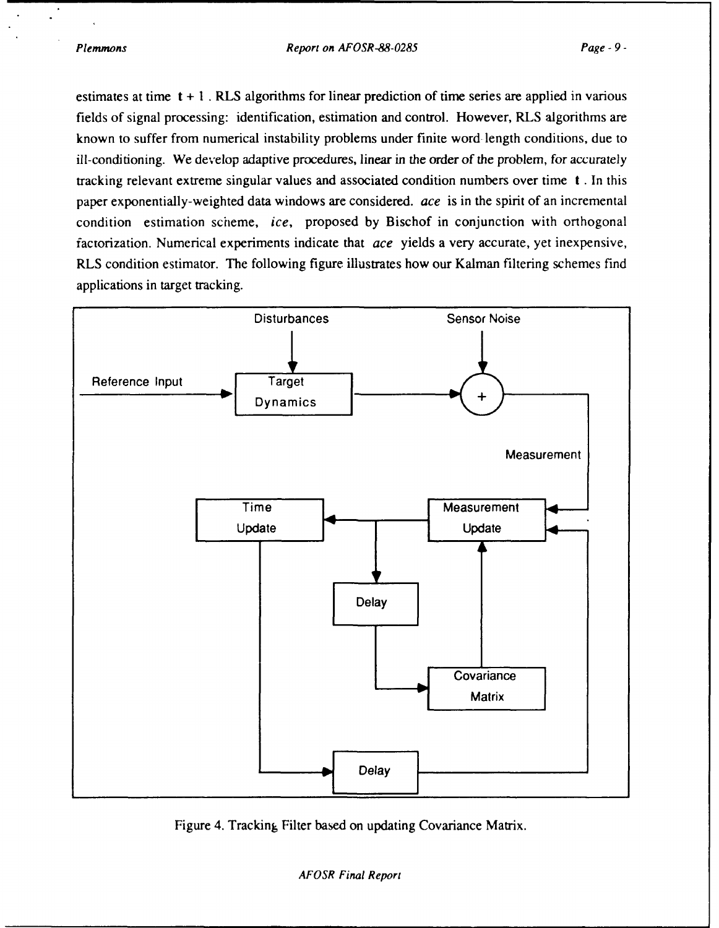*Plemmons Report on AFOSR-88-0285 Page* **-** *9-*

estimates at time **t + I.** RLS algorithms for linear prediction of time series are applied in various fields of signal processing: identification, estimation and control. However, RLS algorithms are known to suffer from numerical instability problems under finite word-length conditions, due to ill-conditioning. We develop adaptive procedures, linear in the order of the problem, for accurately tracking relevant extreme singular values and associated condition numbers over time **t** . In this paper exponentially-weighted data windows are considered. *ace* is in the spirit of an incremental condition estimation scheme, *ice,* proposed **by** Bischof in conjunction with orthogonal factorization. Numerical experiments indicate that *ace* yields a very accurate, yet inexpensive, RLS condition estimator. The following figure illustrates how our Kalman filtering schemes find applications in target tracking.



Figure 4. Tracking Filter based on updating Covariance Matrix.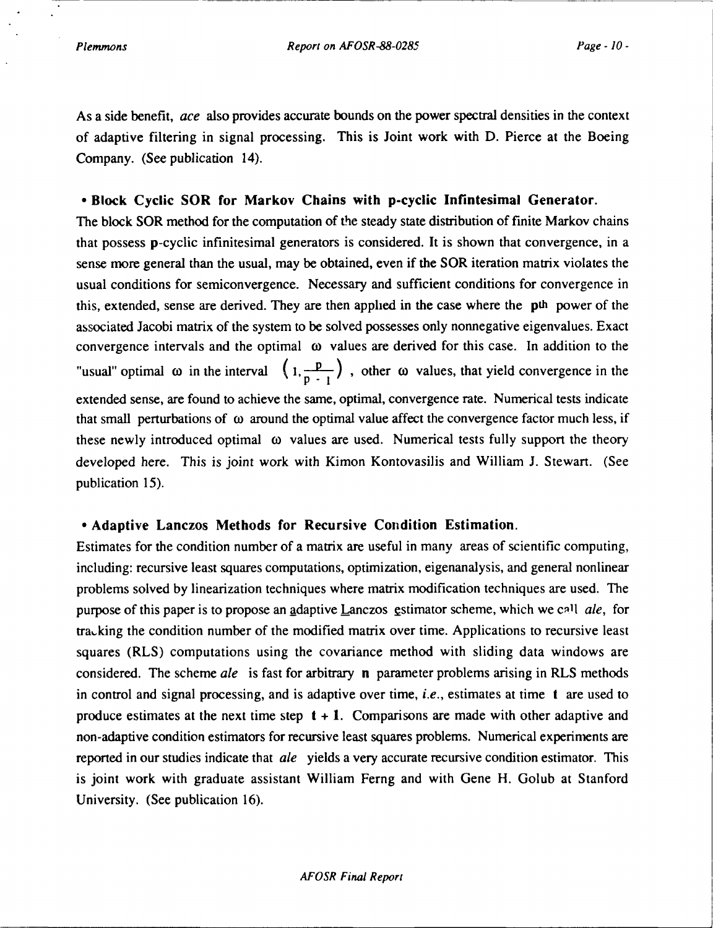As a side benefit, *ace* also provides accurate bounds on the power spectral densities in the context of adaptive filtering in signal processing. This is Joint work with D. Pierce at the Boeing Company. (See publication 14).

### **-** Block **Cyclic** SOR **for Markov Chains with p-cyclic Infintesimal Generator.**

The block SOR method for the computation of the steady state distribution of finite Markov chains that possess p-cyclic infinitesimal generators is considered. It is shown that convergence, in a sense more general than the usual, may be obtained, even if the SOR iteration matrix violates the usual conditions for semiconvergence. Necessary and sufficient conditions for convergence in this, extended, sense are derived. They are then applied in the case where the pth power of the associated Jacobi matrix of the system to be solved possesses only nonnegative eigenvalues. Exact convergence intervals and the optimal  $\omega$  values are derived for this case. In addition to the "usual" optimal  $\omega$  in the interval  $(1, \frac{p}{p-1})$ , other  $\omega$  values, that yield convergence in the extended sense, are found to achieve the same, optimal, convergence rate. Numerical tests indicate that small perturbations of  $\omega$  around the optimal value affect the convergence factor much less, if these newly introduced optimal  $\omega$  values are used. Numerical tests fully support the theory developed here. This is joint work with Kimon Kontovasilis and William J. Stewart. (See publication 15).

#### **• Adaptive Lanczos Methods for Recursive Condition Estimation.**

Estimates for the condition number of a matrix are useful in many areas of scientific computing, including: recursive least squares computations, optimization, eigenanalysis, and general nonlinear problems solved by linearization techniques where matrix modification techniques are used. The purpose of this paper is to propose an adaptive Lanczos estimator scheme, which we call *ale*, for tra, king the condition number of the modified matrix over time. Applications to recursive least squares (RLS) computations using the covariance method with sliding data windows are considered. The scheme *ale* is fast for arbitrary n parameter problems arising in RLS methods in control and signal processing, and is adaptive over time, *i.e.,* estimates at time t are used to produce estimates at the next time step  $t + 1$ . Comparisons are made with other adaptive and non-adaptive condition estimators for recursive least squares problems. Numerical experiments are reported in our studies indicate that *ale* yields a very accurate recursive condition estimator. This is joint work with graduate assistant William Ferng and with Gene H. Golub at Stanford University. (See publication 16).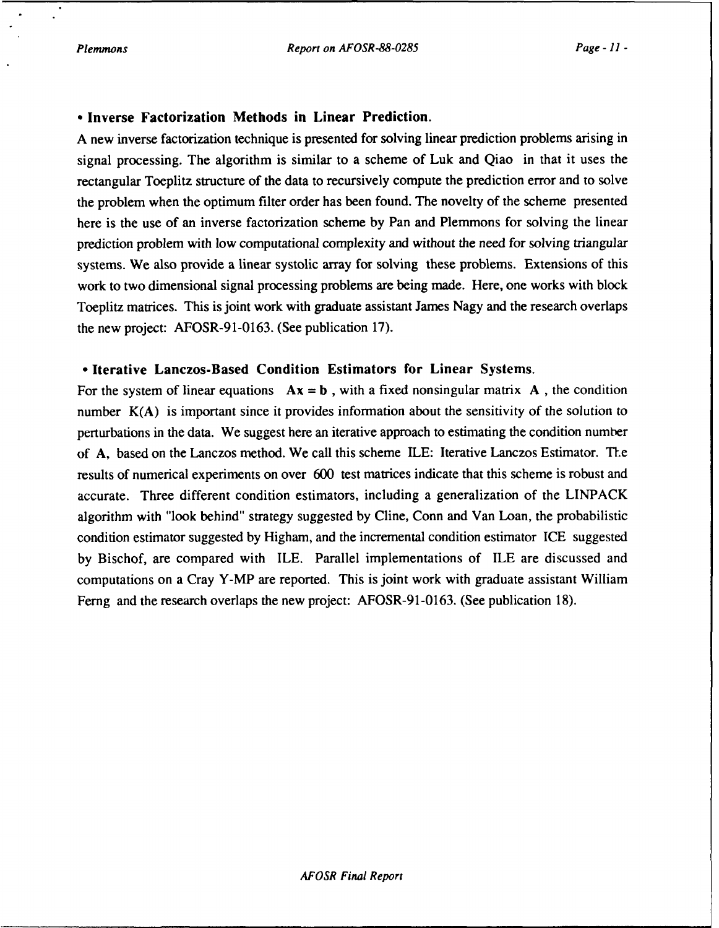#### \*Inverse Factorization Methods in Linear Prediction.

A new inverse factorization technique is presented for solving linear prediction problems arising in signal processing. The algorithm is similar to a scheme of Luk and Qiao in that it uses the rectangular Toeplitz structure of the data to recursively compute the prediction error and to solve the problem when the optimum filter order has been found. The novelty of the scheme presented here is the use of an inverse factorization scheme by Pan and Plemmons for solving the linear prediction problem with low computational complexity and without the need for solving triangular systems. We also provide a linear systolic array for solving these problems. Extensions of this work to two dimensional signal processing problems are being made. Here, one works with block Toeplitz matrices. This is joint work with graduate assistant James Nagy and the research overlaps the new project: AFOSR-91-0163. (See publication 17).

#### **•** Iterative Lanczos-Based Condition Estimators for Linear Systems.

For the system of linear equations  $Ax = b$ , with a fixed nonsingular matrix A, the condition number  $K(A)$  is important since it provides information about the sensitivity of the solution to perturbations in the data. We suggest here an iterative approach to estimating the condition number of A, based on the Lanczos method. We call this scheme ILE: Iterative Lanczos Estimator. The results of numerical experiments on over 600 test matrices indicate that this scheme is robust and accurate. Three different condition estimators, including a generalization of the LINPACK algorithm with "look behind" strategy suggested by Cline, Conn and Van Loan, the probabilistic condition estimator suggested by Higham, and the incremental condition estimator ICE suggested by Bischof, are compared with ILE. Parallel implementations of **ILE** are discussed and computations on a Cray Y-MP are reported. This is joint work with graduate assistant William Ferng and the research overlaps the new project: AFOSR-91-0163. (See publication 18).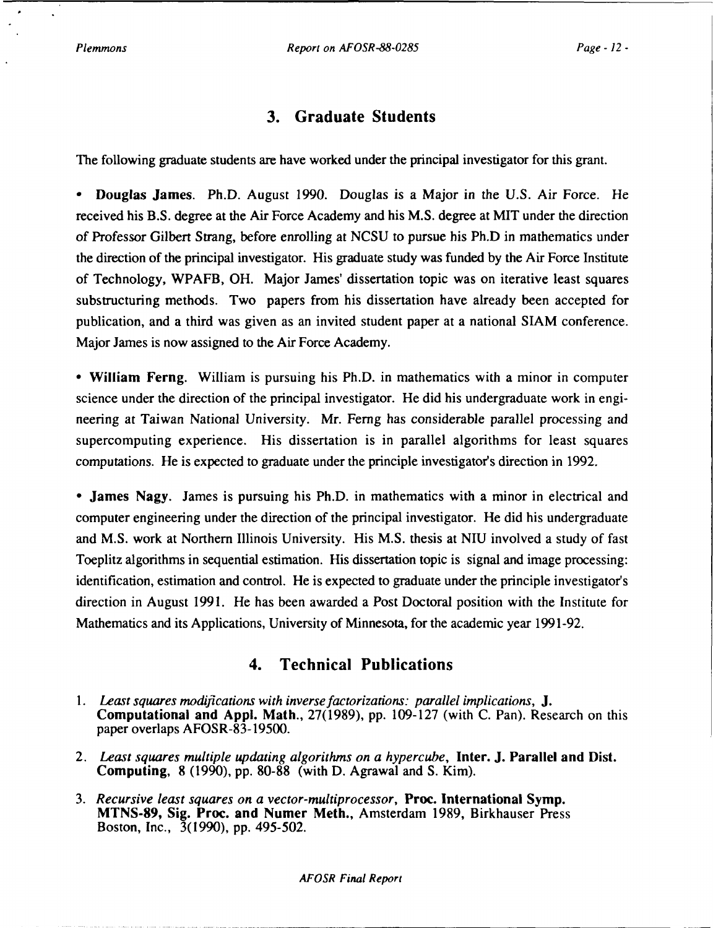## **3. Graduate Students**

The following graduate students are have worked under the principal investigator for this grant.

• Douglas James. Ph.D. August 1990. Douglas is a Major in the U.S. Air Force. He received his B.S. degree at the Air Force Academy and his M.S. degree at MIT under the direction of Professor Gilbert Strang, before enrolling at NCSU to pursue his Ph.D in mathematics under the direction of the principal investigator. His graduate study was funded by the Air Force Institute of Technology, WPAFB, OH. Major James' dissertation topic was on iterative least squares substructuring methods. Two papers from his dissertation have already been accepted for publication, and a third was given as an invited student paper at a national SIAM conference. Major James is now assigned to the Air Force Academy.

\* William Ferng. William is pursuing his Ph.D. in mathematics with a minor in computer science under the direction of the principal investigator. He did his undergraduate work in engineering at Taiwan National University. Mr. Ferng has considerable parallel processing and supercomputing experience. His dissertation is in parallel algorithms for least squares computations. He is expected to graduate under the principle investigator's direction in 1992.

\* James Nagy. James is pursuing his Ph.D. in mathematics with a minor in electrical and computer engineering under the direction of the principal investigator. He did his undergraduate and M.S. work at Northern Illinois University. His M.S. thesis at NIU involved a study of fast Toeplitz algorithms in sequential estimation. His dissertation topic is signal and image processing: identification, estimation and control. He is expected to graduate under the principle investigator's direction in August 1991. He has been awarded a Post Doctoral position with the Institute for Mathematics and its Applications, University of Minnesota, for the academic year 1991-92.

## **4. Technical Publications**

- **1.** Least *squares* modifications with *inverse factorizations: parallel implications, J.* **Computational and Appl.** Math., 27(1989), pp. 109-127 (with C. Pan). Research on this paper overlaps **AFOSR-83-19500.**
- *2. Least squares multiple updating algorithms on a hypercube,* Inter. **J.** Parallel **and Dist. Computing, 8 (1990), pp. 80-88** (with **D.** Agrawal and **S.** Kim).
- *3. Recursive least squares on a vector-multiprocessor,* **Proc.** International **Symp. MTNS-89,** Sig. Proc. **and Numer** Meth., Amsterdam 1989, Birkhauser Press Boston, Inc., **3(1990), pp.** 495-502.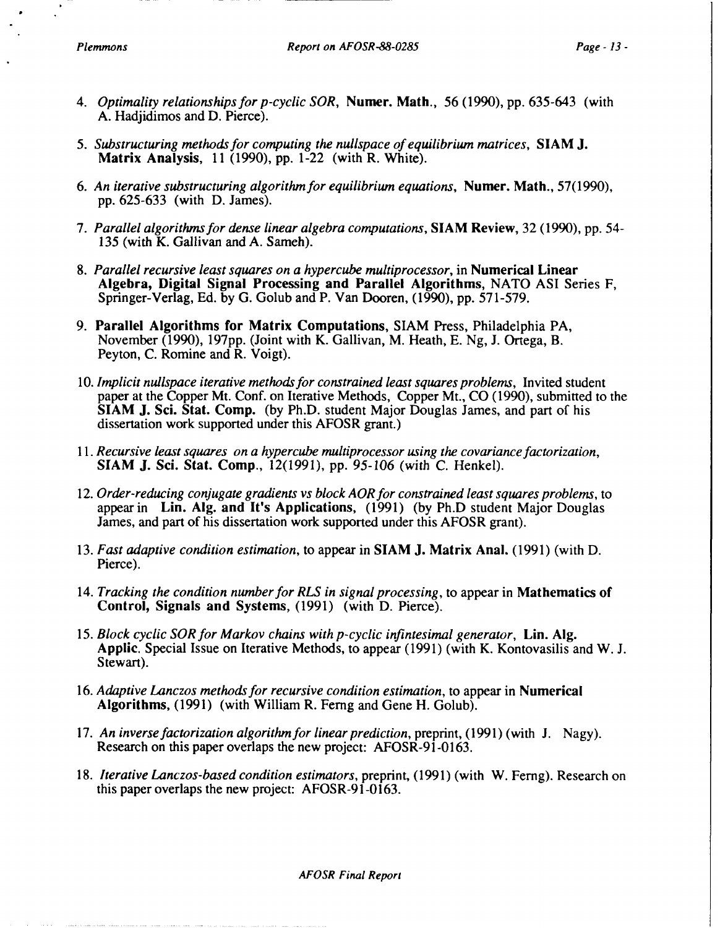- *4. Optimality relationships for p-cyclic SOR,* Numer. Math., 56 (1990), pp. 635-643 (with **A.** Hadjidimos and **D.** Pierce).
- *5. Substructuring methods for computing the nullspace of equilibrium matrices,* SIAM **J.** Matrix Analysis, **11 (1990), pp.** 1-22 (with R. White).
- *6. An iterative substructuring algorithm for equilibrium equations,* Numer. Math., **57(1990),** pp. 625-633 (with D. James).
- *7. Parallel algorithms for dense linear algebra computations,* **SIAM Review,** 32 (1990), pp. 54- 135 (with K. Gallivan and A. Sameh).
- 8. *Parallel recursive least squares on a hypercube multiprocessor,* in Numerical Linear **Algebra, Digital Signal Processing and Parallel Algorithms, NATO ASI Series F,** Springer-Verlag, Ed. by G. Golub and P. Van Dooren, (1990), pp. 571-579.
- 9. Parallel Algorithms for Matrix Computations, SIAM Press, Philadelphia PA, November (1990), 197pp. (Joint with K. Gallivan, M. Heath, E. Ng, J. Ortega, B. Peyton, C. Romine and R. Voigt).
- 10. *Implicit nullspace iterative methods for constrained least squares problems,* Invited student paper at the Copper Mt. Conf. on Iterative Methods, Copper Mt., CO (1990), submitted to the SIAM **J.** Sci. Stat. Comp. (by Ph.D. student Major Douglas James, and part of his dissertation work supported under this AFOSR grant.)
- *11. Recursive least squares on a hypercube multiprocessor using the covariancefactorization,* **SIAM J.** Sci. Stat. Comp., **12(1991), pp.** 95-106 (with C. Henkel).
- *12. Order-reducing conjugate gradients vs block AOR for constrained least squares problems,* to appear in Lin. **Alg.** and It's Applications, (1991) (by Ph.D student Major Douglas James, and part of his dissertation work supported under this AFOSR grant).
- 13. *Fast adaptive condition estimation,* to appear in SIAM **J.** Matrix Anal. (1991) (with D. Pierce).
- 14. *Tracking the condition number for RLS in signal processing,* to appear in Mathematics **of** Control, Signals and Systems, (1991) (with D. Pierce).
- 15. *Block cyclic SOR for Markov chains with p-cyclic infintesimal generator,* Lin. AIg. Applic. Special Issue on Iterative Methods, to appear (1991) (with K. Kontovasilis and W. J. Stewart).
- 16. *Adaptive Lanczos methods for recursive condition estimation,* to appear in Numerical Algorithms, (1991) (with William R. Femg and Gene H. Golub).
- 17. An inverse factorization algorithm for linear prediction, preprint, (1991) (with J. Nagy). Research on this paper overlaps the new project: AFOSR-91-0163.
- *18. Iterative Lanczos-based condition estimators,* preprint, (1991) (with W. Ferng). Research on this paper overlaps the new project: AFOSR-91-0163.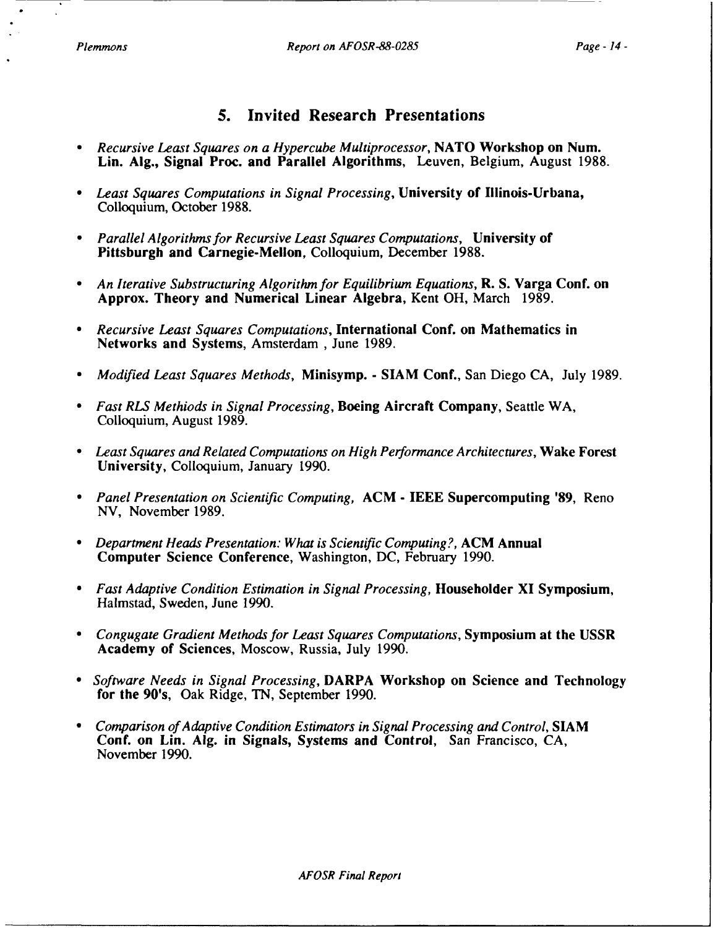### **5.** Invited Research Presentations

- *\* Recursive Least Squares on a Hypercube Multiprocessor,* **NATO** Workshop on Num. Lin. **AIg.,** Signal Proc. and Parallel Algorithms, Leuven, Belgium, August **1988.**
- *\* Least Squares Computations in Signal Processing,* University **of** Illinois-Urbana, Colloquium, October **1988.**
- *\* Parallel Algorithms for Recursive Least Squares Computations,* University of Pittsburgh and Carnegie-Mellon, Colloquium, December **1988.**
- *\* An Iterative Substructuring Algorithm for Equilibrium Equations,* R. **S.** Varga Conf. on Approx. Theory and Numerical Linear Algebra, Kent OH, March **1989.**
- **"** *Recursive Least Squares Computations,* International Conf. on Mathematics in Networks and Systems, Amsterdam , June **1989.**
- **"** *Modified Least Squares Methods,* Minisymp. **- SIAM** Conf., San Diego **CA,** July **1989.**
- *Fast RLS Methiods in Signal Processing,* Boeing Aircraft Company, Seattle WA, Colloquium, August **1989.**
- **"** *Least Squares and Related Computations on High Performance Architectures,* Wake Forest University, Colloquium, January **1990.**
- *\* Panel Presentation on Scientific Computing,* **ACM - IEEE** Supercomputing **'89,** Reno **NV,** November **1989.**
- **"** *Department Heads Presentation: What is Scientific Computing?,* **ACM** Annual Computer Science Conference, Washington, **DC,** February **1990.**
- **"** *Fast Adaptive Condition Estimation in Signal Processing,* Householder XI Symposium, Halmstad, Sweden, June **1990.**
- **"** *Congugate Gradient Methods for Least Squares Computations,* Symposium at the **USSR** Academy of Sciences, Moscow, Russia, July **1990.**
- **"** *Software Needs in Signal Processing,* DARPA Workshop on Science and Technology for the 90's, Oak Ridge, **TN,** September **1990.**
- **"** *Comparison of Adaptive Condition Estimators in Signal Processing and Control,* **SIAM** Conf. on Lin. **Alg.** in Signals, Systems and Control, San Francisco, CA, November 1990.